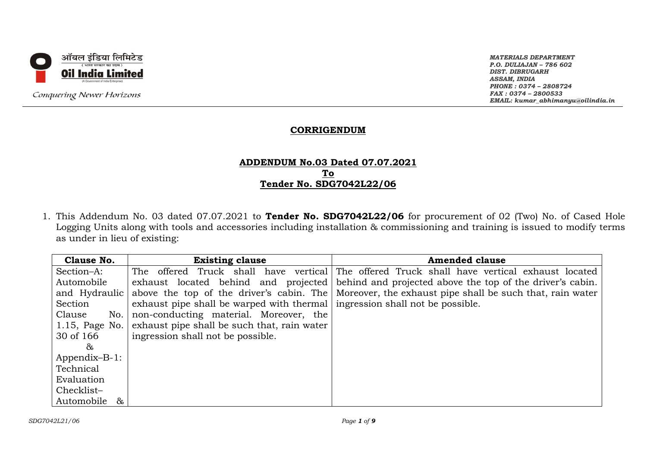

Conquering Newer Horizons

*MATERIALS DEPARTMENT P.O. DULIAJAN – 786 602 DIST. DIBRUGARH ASSAM, INDIA PHONE : 0374 – 2808724 FAX : 0374 – 2800533 EMAIL: kumar\_abhimanyu@oilindia.in*

#### **CORRIGENDUM**

#### **ADDENDUM No.03 Dated 07.07.2021 To Tender No. SDG7042L22/06**

1. This Addendum No. 03 dated 07.07.2021 to **Tender No. SDG7042L22/06** for procurement of 02 (Two) No. of Cased Hole Logging Units along with tools and accessories including installation & commissioning and training is issued to modify terms as under in lieu of existing:

| Clause No.                   | <b>Existing clause</b>                                                        | <b>Amended clause</b>                                                                              |
|------------------------------|-------------------------------------------------------------------------------|----------------------------------------------------------------------------------------------------|
| Section-A:                   | The                                                                           | offered Truck shall have vertical The offered Truck shall have vertical exhaust located            |
| Automobile                   |                                                                               | exhaust located behind and projected behind and projected above the top of the driver's cabin.     |
| and Hydraulic                |                                                                               | above the top of the driver's cabin. The Moreover, the exhaust pipe shall be such that, rain water |
| Section                      | exhaust pipe shall be warped with thermal   ingression shall not be possible. |                                                                                                    |
| Clause<br>No.                | non-conducting material. Moreover, the                                        |                                                                                                    |
| 1.15, Page No.               | exhaust pipe shall be such that, rain water                                   |                                                                                                    |
| 30 of 166                    | ingression shall not be possible.                                             |                                                                                                    |
| &                            |                                                                               |                                                                                                    |
| $Appendix-B-1$ :             |                                                                               |                                                                                                    |
| Technical                    |                                                                               |                                                                                                    |
| Evaluation                   |                                                                               |                                                                                                    |
| Checklist-                   |                                                                               |                                                                                                    |
| Automobile<br>8 <sub>k</sub> |                                                                               |                                                                                                    |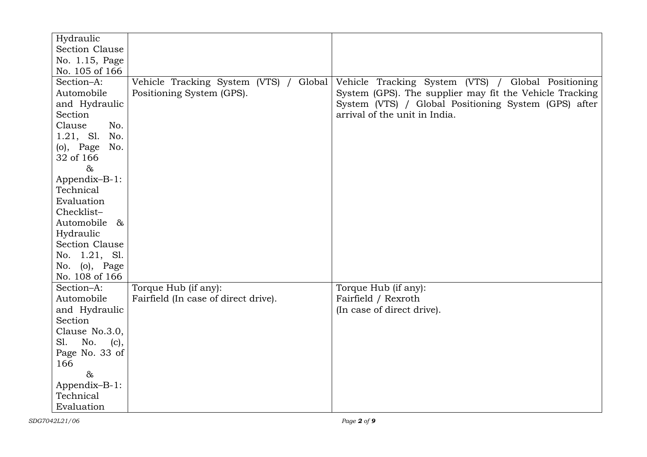| Hydraulic             |                                           |                                                         |
|-----------------------|-------------------------------------------|---------------------------------------------------------|
| Section Clause        |                                           |                                                         |
| No. 1.15, Page        |                                           |                                                         |
| No. 105 of 166        |                                           |                                                         |
| Section-A:            | Vehicle Tracking System (VTS) /<br>Global | Vehicle Tracking System (VTS) / Global Positioning      |
| Automobile            | Positioning System (GPS).                 | System (GPS). The supplier may fit the Vehicle Tracking |
| and Hydraulic         |                                           | System (VTS) / Global Positioning System (GPS) after    |
| Section               |                                           | arrival of the unit in India.                           |
| Clause<br>No.         |                                           |                                                         |
| 1.21, S1.<br>No.      |                                           |                                                         |
| $(o)$ , Page<br>No.   |                                           |                                                         |
| 32 of 166             |                                           |                                                         |
| $\alpha$              |                                           |                                                         |
| Appendix-B-1:         |                                           |                                                         |
| Technical             |                                           |                                                         |
| Evaluation            |                                           |                                                         |
| Checklist-            |                                           |                                                         |
| Automobile<br>$\&$    |                                           |                                                         |
| Hydraulic             |                                           |                                                         |
| <b>Section Clause</b> |                                           |                                                         |
| No. 1.21, Sl.         |                                           |                                                         |
| No. (o), Page         |                                           |                                                         |
| No. 108 of 166        |                                           |                                                         |
| Section-A:            | Torque Hub (if any):                      | Torque Hub (if any):                                    |
| Automobile            | Fairfield (In case of direct drive).      | Fairfield / Rexroth                                     |
| and Hydraulic         |                                           | (In case of direct drive).                              |
| Section               |                                           |                                                         |
| Clause No.3.0,        |                                           |                                                         |
| SI.<br>No.<br>(c),    |                                           |                                                         |
| Page No. 33 of        |                                           |                                                         |
| 166                   |                                           |                                                         |
| $\&$                  |                                           |                                                         |
| Appendix-B-1:         |                                           |                                                         |
| Technical             |                                           |                                                         |
| Evaluation            |                                           |                                                         |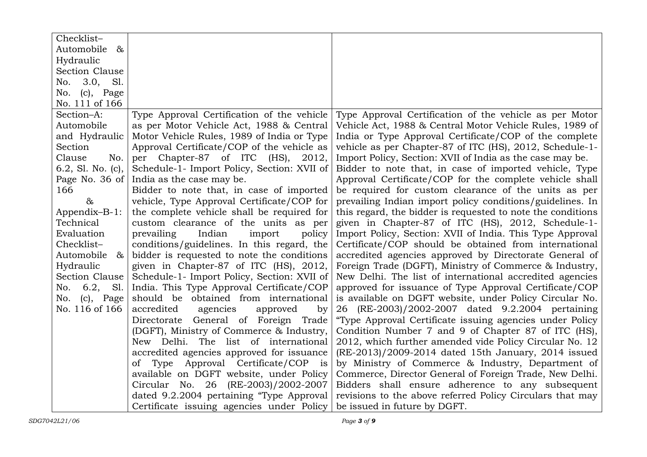| Checklist-           |                                                    |                                                             |
|----------------------|----------------------------------------------------|-------------------------------------------------------------|
| Automobile<br>$\&$   |                                                    |                                                             |
| Hydraulic            |                                                    |                                                             |
| Section Clause       |                                                    |                                                             |
| No. 3.0,<br>Sl.      |                                                    |                                                             |
| No. (c), Page        |                                                    |                                                             |
| No. 111 of 166       |                                                    |                                                             |
| Section-A:           | Type Approval Certification of the vehicle         | Type Approval Certification of the vehicle as per Motor     |
| Automobile           | as per Motor Vehicle Act, 1988 & Central           | Vehicle Act, 1988 & Central Motor Vehicle Rules, 1989 of    |
| and Hydraulic        | Motor Vehicle Rules, 1989 of India or Type         | India or Type Approval Certificate/COP of the complete      |
| Section              | Approval Certificate/COP of the vehicle as         | vehicle as per Chapter-87 of ITC (HS), 2012, Schedule-1-    |
| Clause<br>No.        | per Chapter-87 of ITC (HS), 2012,                  | Import Policy, Section: XVII of India as the case may be.   |
| 6.2, Sl. No. $(c)$ , | Schedule-1- Import Policy, Section: XVII of        | Bidder to note that, in case of imported vehicle, Type      |
| Page No. 36 of       | India as the case may be.                          | Approval Certificate/COP for the complete vehicle shall     |
| 166                  | Bidder to note that, in case of imported           | be required for custom clearance of the units as per        |
| &                    | vehicle, Type Approval Certificate/COP for         | prevailing Indian import policy conditions/guidelines. In   |
| Appendix-B-1:        | the complete vehicle shall be required for         | this regard, the bidder is requested to note the conditions |
| Technical            | custom clearance of the units as per               | given in Chapter-87 of ITC (HS), 2012, Schedule-1-          |
| Evaluation           | prevailing<br>Indian<br>import<br>policy           | Import Policy, Section: XVII of India. This Type Approval   |
| Checklist-           | conditions/guidelines. In this regard, the         | Certificate/COP should be obtained from international       |
| Automobile<br>&      | bidder is requested to note the conditions         | accredited agencies approved by Directorate General of      |
| Hydraulic            | given in Chapter-87 of ITC (HS), 2012,             | Foreign Trade (DGFT), Ministry of Commerce & Industry,      |
| Section Clause       | Schedule-1- Import Policy, Section: XVII of        | New Delhi. The list of international accredited agencies    |
| 6.2,<br>Sl.<br>No.   | India. This Type Approval Certificate/COP          | approved for issuance of Type Approval Certificate/COP      |
| $(c)$ , Page<br>No.  | should be obtained from international              | is available on DGFT website, under Policy Circular No.     |
| No. 116 of 166       | accredited<br>agencies<br>approved<br>by           | 26 (RE-2003)/2002-2007 dated 9.2.2004 pertaining            |
|                      | Directorate General of Foreign Trade               | "Type Approval Certificate issuing agencies under Policy    |
|                      | (DGFT), Ministry of Commerce & Industry,           | Condition Number 7 and 9 of Chapter 87 of ITC (HS),         |
|                      | New Delhi. The list of international               | 2012, which further amended vide Policy Circular No. 12     |
|                      | accredited agencies approved for issuance          | (RE-2013)/2009-2014 dated 15th January, 2014 issued         |
|                      | of Type Approval Certificate/COP<br>$\frac{1}{15}$ | by Ministry of Commerce & Industry, Department of           |
|                      | available on DGFT website, under Policy            | Commerce, Director General of Foreign Trade, New Delhi.     |
|                      | Circular No. 26 (RE-2003)/2002-2007                | Bidders shall ensure adherence to any subsequent            |
|                      | dated 9.2.2004 pertaining "Type Approval           | revisions to the above referred Policy Circulars that may   |
|                      | Certificate issuing agencies under Policy          | be issued in future by DGFT.                                |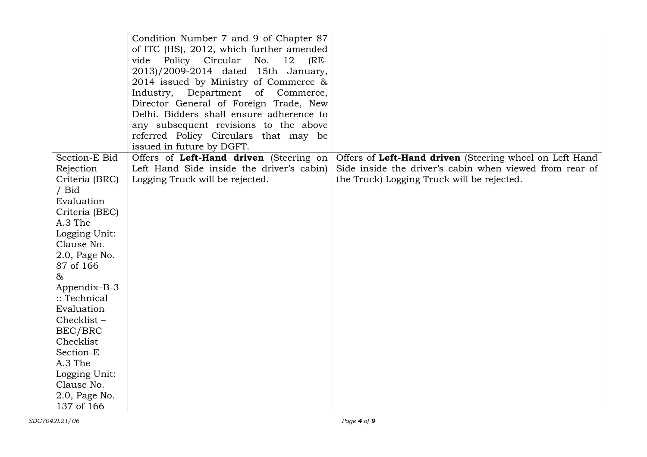|                | Condition Number 7 and 9 of Chapter 87      |                                                         |
|----------------|---------------------------------------------|---------------------------------------------------------|
|                | of ITC (HS), 2012, which further amended    |                                                         |
|                | vide Policy Circular<br>No.<br>12<br>$(RE-$ |                                                         |
|                | 2013)/2009-2014 dated 15th January,         |                                                         |
|                | 2014 issued by Ministry of Commerce &       |                                                         |
|                | Department of Commerce,<br>Industry,        |                                                         |
|                | Director General of Foreign Trade, New      |                                                         |
|                | Delhi. Bidders shall ensure adherence to    |                                                         |
|                | any subsequent revisions to the above       |                                                         |
|                | referred Policy Circulars that may be       |                                                         |
|                | issued in future by DGFT.                   |                                                         |
| Section-E Bid  | Offers of Left-Hand driven (Steering on     | Offers of Left-Hand driven (Steering wheel on Left Hand |
| Rejection      | Left Hand Side inside the driver's cabin)   | Side inside the driver's cabin when viewed from rear of |
| Criteria (BRC) | Logging Truck will be rejected.             | the Truck) Logging Truck will be rejected.              |
| / Bid          |                                             |                                                         |
| Evaluation     |                                             |                                                         |
| Criteria (BEC) |                                             |                                                         |
| A.3 The        |                                             |                                                         |
| Logging Unit:  |                                             |                                                         |
| Clause No.     |                                             |                                                         |
| 2.0, Page No.  |                                             |                                                         |
| 87 of 166      |                                             |                                                         |
| &              |                                             |                                                         |
| Appendix-B-3   |                                             |                                                         |
| :: Technical   |                                             |                                                         |
| Evaluation     |                                             |                                                         |
| Checklist-     |                                             |                                                         |
| BEC/BRC        |                                             |                                                         |
| Checklist      |                                             |                                                         |
| Section-E      |                                             |                                                         |
| A.3 The        |                                             |                                                         |
| Logging Unit:  |                                             |                                                         |
| Clause No.     |                                             |                                                         |
| 2.0, Page No.  |                                             |                                                         |
| 137 of 166     |                                             |                                                         |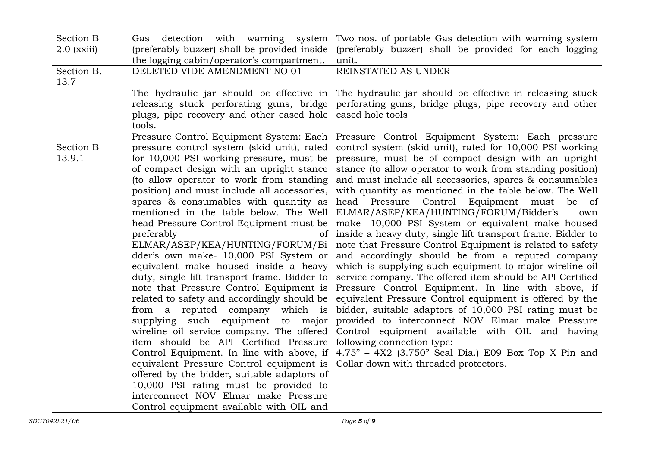| <b>Section B</b> | detection with warning system<br>Gas                                           | Two nos. of portable Gas detection with warning system                        |
|------------------|--------------------------------------------------------------------------------|-------------------------------------------------------------------------------|
| $2.0$ (xxiii)    | (preferably buzzer) shall be provided inside                                   | (preferably buzzer) shall be provided for each logging                        |
|                  | the logging cabin/operator's compartment.                                      | unit.                                                                         |
| Section B.       | DELETED VIDE AMENDMENT NO 01                                                   | REINSTATED AS UNDER                                                           |
| 13.7             |                                                                                |                                                                               |
|                  | The hydraulic jar should be effective in                                       | The hydraulic jar should be effective in releasing stuck                      |
|                  | releasing stuck perforating guns, bridge                                       | perforating guns, bridge plugs, pipe recovery and other                       |
|                  | plugs, pipe recovery and other cased hole                                      | cased hole tools                                                              |
|                  | tools.                                                                         |                                                                               |
|                  | Pressure Control Equipment System: Each                                        | Pressure Control Equipment System: Each pressure                              |
| <b>Section B</b> | pressure control system (skid unit), rated                                     | control system (skid unit), rated for 10,000 PSI working                      |
| 13.9.1           | for 10,000 PSI working pressure, must be                                       | pressure, must be of compact design with an upright                           |
|                  | of compact design with an upright stance                                       | stance (to allow operator to work from standing position)                     |
|                  | (to allow operator to work from standing                                       | and must include all accessories, spares & consumables                        |
|                  | position) and must include all accessories,                                    | with quantity as mentioned in the table below. The Well                       |
|                  | spares & consumables with quantity as                                          | head Pressure Control Equipment must<br>be<br>of                              |
|                  | mentioned in the table below. The Well                                         | ELMAR/ASEP/KEA/HUNTING/FORUM/Bidder's<br>own                                  |
|                  | head Pressure Control Equipment must be                                        | make- 10,000 PSI System or equivalent make housed                             |
|                  | preferably<br><sub>of</sub>                                                    | inside a heavy duty, single lift transport frame. Bidder to                   |
|                  | ELMAR/ASEP/KEA/HUNTING/FORUM/Bi                                                | note that Pressure Control Equipment is related to safety                     |
|                  | dder's own make- 10,000 PSI System or                                          | and accordingly should be from a reputed company                              |
|                  | equivalent make housed inside a heavy                                          | which is supplying such equipment to major wireline oil                       |
|                  | duty, single lift transport frame. Bidder to                                   | service company. The offered item should be API Certified                     |
|                  | note that Pressure Control Equipment is                                        | Pressure Control Equipment. In line with above, if                            |
|                  | related to safety and accordingly should be                                    | equivalent Pressure Control equipment is offered by the                       |
|                  | from a reputed company which is                                                | bidder, suitable adaptors of 10,000 PSI rating must be                        |
|                  | supplying such equipment to major<br>wireline oil service company. The offered | provided to interconnect NOV Elmar make Pressure                              |
|                  | item should be API Certified Pressure                                          | Control equipment available with OIL and having<br>following connection type: |
|                  | Control Equipment. In line with above, if                                      | $4.75" - 4X2$ (3.750" Seal Dia.) E09 Box Top X Pin and                        |
|                  | equivalent Pressure Control equipment is                                       | Collar down with threaded protectors.                                         |
|                  | offered by the bidder, suitable adaptors of                                    |                                                                               |
|                  | 10,000 PSI rating must be provided to                                          |                                                                               |
|                  | interconnect NOV Elmar make Pressure                                           |                                                                               |
|                  | Control equipment available with OIL and                                       |                                                                               |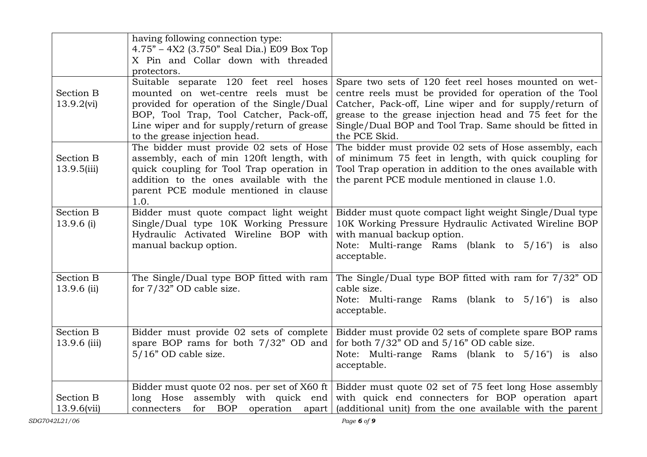|                                 | having following connection type:<br>4.75" - 4X2 (3.750" Seal Dia.) E09 Box Top<br>X Pin and Collar down with threaded<br>protectors.                                                                                                               |                                                                                                                                                                                                                                                                                                                   |
|---------------------------------|-----------------------------------------------------------------------------------------------------------------------------------------------------------------------------------------------------------------------------------------------------|-------------------------------------------------------------------------------------------------------------------------------------------------------------------------------------------------------------------------------------------------------------------------------------------------------------------|
| Section B<br>13.9.2(vi)         | Suitable separate 120 feet reel hoses<br>mounted on wet-centre reels must be<br>provided for operation of the Single/Dual<br>BOP, Tool Trap, Tool Catcher, Pack-off,<br>Line wiper and for supply/return of grease<br>to the grease injection head. | Spare two sets of 120 feet reel hoses mounted on wet-<br>centre reels must be provided for operation of the Tool<br>Catcher, Pack-off, Line wiper and for supply/return of<br>grease to the grease injection head and 75 feet for the<br>Single/Dual BOP and Tool Trap. Same should be fitted in<br>the PCE Skid. |
| <b>Section B</b><br>13.9.5(iii) | The bidder must provide 02 sets of Hose<br>assembly, each of min 120ft length, with<br>quick coupling for Tool Trap operation in<br>addition to the ones available with the<br>parent PCE module mentioned in clause<br>1.0.                        | The bidder must provide 02 sets of Hose assembly, each<br>of minimum 75 feet in length, with quick coupling for<br>Tool Trap operation in addition to the ones available with<br>the parent PCE module mentioned in clause 1.0.                                                                                   |
| <b>Section B</b><br>13.9.6 (i)  | Bidder must quote compact light weight<br>Single/Dual type 10K Working Pressure<br>Hydraulic Activated Wireline BOP with<br>manual backup option.                                                                                                   | Bidder must quote compact light weight Single/Dual type<br>10K Working Pressure Hydraulic Activated Wireline BOP<br>with manual backup option.<br>Note: Multi-range Rams (blank to 5/16") is also<br>acceptable.                                                                                                  |
| <b>Section B</b><br>13.9.6 (ii) | The Single/Dual type BOP fitted with ram<br>for $7/32$ " OD cable size.                                                                                                                                                                             | The Single/Dual type BOP fitted with ram for 7/32" OD<br>cable size.<br>Note: Multi-range Rams (blank to 5/16") is also<br>acceptable.                                                                                                                                                                            |
| Section B<br>13.9.6 (iii)       | Bidder must provide 02 sets of complete<br>spare BOP rams for both 7/32" OD and<br>$5/16$ " OD cable size.                                                                                                                                          | Bidder must provide 02 sets of complete spare BOP rams<br>for both $7/32$ " OD and $5/16$ " OD cable size.<br>Note: Multi-range Rams (blank to 5/16") is also<br>acceptable.                                                                                                                                      |
| Section B<br>13.9.6(vii)        | Bidder must quote 02 nos. per set of X60 ft<br>long Hose<br>assembly with quick end<br>for<br>BOP<br>operation apart<br>connecters                                                                                                                  | Bidder must quote 02 set of 75 feet long Hose assembly<br>with quick end connecters for BOP operation apart<br>(additional unit) from the one available with the parent                                                                                                                                           |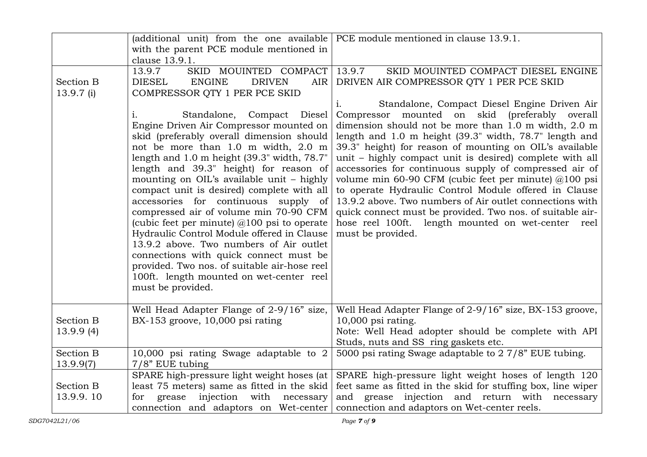|                               | (additional unit) from the one available                                                                                                                                                                                                                                                                                                                                                                                                                                                                                                                                                                                                                                                                                                                  | PCE module mentioned in clause 13.9.1.                                                                                                                                                                                                                                                                                                                                                                                                                                                                                                                                                                                                                                                                                          |
|-------------------------------|-----------------------------------------------------------------------------------------------------------------------------------------------------------------------------------------------------------------------------------------------------------------------------------------------------------------------------------------------------------------------------------------------------------------------------------------------------------------------------------------------------------------------------------------------------------------------------------------------------------------------------------------------------------------------------------------------------------------------------------------------------------|---------------------------------------------------------------------------------------------------------------------------------------------------------------------------------------------------------------------------------------------------------------------------------------------------------------------------------------------------------------------------------------------------------------------------------------------------------------------------------------------------------------------------------------------------------------------------------------------------------------------------------------------------------------------------------------------------------------------------------|
|                               | with the parent PCE module mentioned in                                                                                                                                                                                                                                                                                                                                                                                                                                                                                                                                                                                                                                                                                                                   |                                                                                                                                                                                                                                                                                                                                                                                                                                                                                                                                                                                                                                                                                                                                 |
|                               | clause 13.9.1.                                                                                                                                                                                                                                                                                                                                                                                                                                                                                                                                                                                                                                                                                                                                            |                                                                                                                                                                                                                                                                                                                                                                                                                                                                                                                                                                                                                                                                                                                                 |
|                               | SKID MOUINTED COMPACT<br>13.9.7                                                                                                                                                                                                                                                                                                                                                                                                                                                                                                                                                                                                                                                                                                                           | SKID MOUINTED COMPACT DIESEL ENGINE<br>13.9.7                                                                                                                                                                                                                                                                                                                                                                                                                                                                                                                                                                                                                                                                                   |
| <b>Section B</b>              | <b>DIESEL</b><br><b>ENGINE</b><br><b>DRIVEN</b><br>AIR                                                                                                                                                                                                                                                                                                                                                                                                                                                                                                                                                                                                                                                                                                    | DRIVEN AIR COMPRESSOR QTY 1 PER PCE SKID                                                                                                                                                                                                                                                                                                                                                                                                                                                                                                                                                                                                                                                                                        |
| $13.9.7$ (i)                  | COMPRESSOR OTY 1 PER PCE SKID                                                                                                                                                                                                                                                                                                                                                                                                                                                                                                                                                                                                                                                                                                                             |                                                                                                                                                                                                                                                                                                                                                                                                                                                                                                                                                                                                                                                                                                                                 |
|                               | Standalone,<br>Compact Diesel<br>$\mathbf{i}$ .<br>Engine Driven Air Compressor mounted on<br>skid (preferably overall dimension should<br>not be more than 1.0 m width, 2.0 m<br>length and 1.0 m height (39.3" width, 78.7"<br>length and 39.3" height) for reason of<br>mounting on OIL's available unit - highly<br>compact unit is desired) complete with all<br>accessories for continuous supply of<br>compressed air of volume min 70-90 CFM<br>(cubic feet per minute) $@100$ psi to operate<br>Hydraulic Control Module offered in Clause<br>13.9.2 above. Two numbers of Air outlet<br>connections with quick connect must be<br>provided. Two nos. of suitable air-hose reel<br>100ft. length mounted on wet-center reel<br>must be provided. | Standalone, Compact Diesel Engine Driven Air<br>1.<br>Compressor mounted on skid (preferably overall<br>dimension should not be more than 1.0 m width, 2.0 m<br>length and 1.0 m height (39.3" width, 78.7" length and<br>39.3" height) for reason of mounting on OIL's available<br>unit – highly compact unit is desired) complete with all<br>accessories for continuous supply of compressed air of<br>volume min 60-90 CFM (cubic feet per minute) $@100$ psi<br>to operate Hydraulic Control Module offered in Clause<br>13.9.2 above. Two numbers of Air outlet connections with<br>quick connect must be provided. Two nos. of suitable air-<br>hose reel 100ft. length mounted on wet-center reel<br>must be provided. |
| <b>Section B</b><br>13.9.9(4) | Well Head Adapter Flange of 2-9/16" size,<br>BX-153 groove, 10,000 psi rating                                                                                                                                                                                                                                                                                                                                                                                                                                                                                                                                                                                                                                                                             | Well Head Adapter Flange of 2-9/16" size, BX-153 groove,<br>$10,000$ psi rating.<br>Note: Well Head adopter should be complete with API                                                                                                                                                                                                                                                                                                                                                                                                                                                                                                                                                                                         |
|                               |                                                                                                                                                                                                                                                                                                                                                                                                                                                                                                                                                                                                                                                                                                                                                           | Studs, nuts and SS ring gaskets etc.                                                                                                                                                                                                                                                                                                                                                                                                                                                                                                                                                                                                                                                                                            |
| <b>Section B</b>              | 10,000 psi rating Swage adaptable to 2                                                                                                                                                                                                                                                                                                                                                                                                                                                                                                                                                                                                                                                                                                                    | 5000 psi rating Swage adaptable to 2 7/8" EUE tubing.                                                                                                                                                                                                                                                                                                                                                                                                                                                                                                                                                                                                                                                                           |
| 13.9.9(7)                     | $7/8$ " EUE tubing                                                                                                                                                                                                                                                                                                                                                                                                                                                                                                                                                                                                                                                                                                                                        |                                                                                                                                                                                                                                                                                                                                                                                                                                                                                                                                                                                                                                                                                                                                 |
|                               | SPARE high-pressure light weight hoses (at                                                                                                                                                                                                                                                                                                                                                                                                                                                                                                                                                                                                                                                                                                                | SPARE high-pressure light weight hoses of length 120                                                                                                                                                                                                                                                                                                                                                                                                                                                                                                                                                                                                                                                                            |
| Section B                     | least 75 meters) same as fitted in the skid                                                                                                                                                                                                                                                                                                                                                                                                                                                                                                                                                                                                                                                                                                               | feet same as fitted in the skid for stuffing box, line wiper                                                                                                                                                                                                                                                                                                                                                                                                                                                                                                                                                                                                                                                                    |
| 13.9.9.10                     | injection<br>with necessary<br>grease<br>for                                                                                                                                                                                                                                                                                                                                                                                                                                                                                                                                                                                                                                                                                                              | and grease injection and return with necessary                                                                                                                                                                                                                                                                                                                                                                                                                                                                                                                                                                                                                                                                                  |
|                               | connection and adaptors on Wet-center                                                                                                                                                                                                                                                                                                                                                                                                                                                                                                                                                                                                                                                                                                                     | connection and adaptors on Wet-center reels.                                                                                                                                                                                                                                                                                                                                                                                                                                                                                                                                                                                                                                                                                    |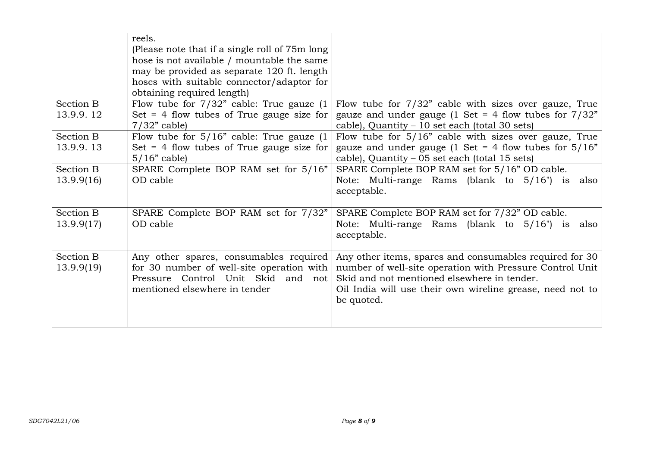|            | reels.<br>(Please note that if a single roll of 75m long)<br>hose is not available / mountable the same<br>may be provided as separate 120 ft. length<br>hoses with suitable connector/adaptor for<br>obtaining required length) |                                                                                                                                                                                    |
|------------|----------------------------------------------------------------------------------------------------------------------------------------------------------------------------------------------------------------------------------|------------------------------------------------------------------------------------------------------------------------------------------------------------------------------------|
| Section B  | Flow tube for $7/32$ " cable: True gauze (1)                                                                                                                                                                                     | Flow tube for 7/32" cable with sizes over gauze, True                                                                                                                              |
| 13.9.9.12  | Set $=$ 4 flow tubes of True gauge size for                                                                                                                                                                                      | gauze and under gauge (1 Set = 4 flow tubes for $7/32$ "                                                                                                                           |
|            | $7/32$ " cable)                                                                                                                                                                                                                  | cable), Quantity - 10 set each (total 30 sets)                                                                                                                                     |
| Section B  | Flow tube for $5/16$ " cable: True gauze $(1)$                                                                                                                                                                                   | Flow tube for 5/16" cable with sizes over gauze, True                                                                                                                              |
| 13.9.9.13  | Set $=$ 4 flow tubes of True gauge size for                                                                                                                                                                                      | gauze and under gauge (1 Set = 4 flow tubes for $5/16"$                                                                                                                            |
|            | $5/16$ " cable)                                                                                                                                                                                                                  | cable), Quantity – 05 set each (total 15 sets)                                                                                                                                     |
| Section B  | SPARE Complete BOP RAM set for 5/16"                                                                                                                                                                                             | SPARE Complete BOP RAM set for 5/16" OD cable.                                                                                                                                     |
| 13.9.9(16) | OD cable                                                                                                                                                                                                                         | Note: Multi-range Rams (blank to 5/16") is also<br>acceptable.                                                                                                                     |
| Section B  | SPARE Complete BOP RAM set for 7/32"                                                                                                                                                                                             | SPARE Complete BOP RAM set for 7/32" OD cable.                                                                                                                                     |
| 13.9.9(17) | OD cable                                                                                                                                                                                                                         | Note: Multi-range Rams (blank to 5/16") is also<br>acceptable.                                                                                                                     |
| Section B  | Any other spares, consumables required                                                                                                                                                                                           | Any other items, spares and consumables required for 30                                                                                                                            |
| 13.9.9(19) | for 30 number of well-site operation with<br>Pressure Control Unit Skid<br>and not<br>mentioned elsewhere in tender                                                                                                              | number of well-site operation with Pressure Control Unit<br>Skid and not mentioned elsewhere in tender.<br>Oil India will use their own wireline grease, need not to<br>be quoted. |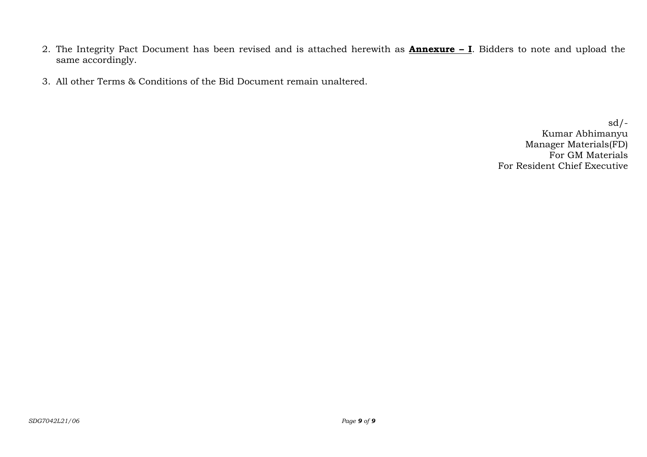- 2. The Integrity Pact Document has been revised and is attached herewith as **Annexure – I**. Bidders to note and upload the same accordingly.
- 3. All other Terms & Conditions of the Bid Document remain unaltered.

 $sd/-$ Kumar Abhimanyu Manager Materials(FD) For GM Materials For Resident Chief Executive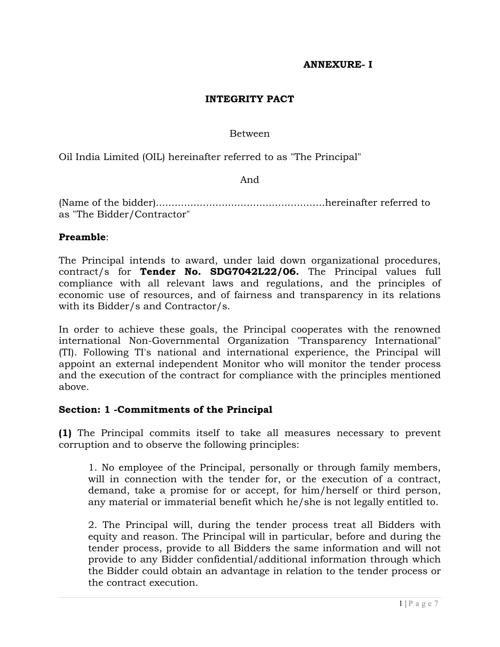### **ANNEXURE- I**

### **INTEGRITY PACT**

#### Between

Oil India Limited (OIL) hereinafter referred to as "The Principal"

And

(Name of the bidder)......................................................hereinafter referred to as "The Bidder/Contractor"

#### **Preamble**:

The Principal intends to award, under laid down organizational procedures, contract/s for **Tender No. SDG7042L22/06.** The Principal values full compliance with all relevant laws and regulations, and the principles of economic use of resources, and of fairness and transparency in its relations with its Bidder/s and Contractor/s.

In order to achieve these goals, the Principal cooperates with the renowned international Non-Governmental Organization "Transparency International" (TI). Following TI's national and international experience, the Principal will appoint an external independent Monitor who will monitor the tender process and the execution of the contract for compliance with the principles mentioned above.

#### **Section: 1 -Commitments of the Principal**

**(1)** The Principal commits itself to take all measures necessary to prevent corruption and to observe the following principles:

1. No employee of the Principal, personally or through family members, will in connection with the tender for, or the execution of a contract, demand, take a promise for or accept, for him/herself or third person, any material or immaterial benefit which he/she is not legally entitled to.

2. The Principal will, during the tender process treat all Bidders with equity and reason. The Principal will in particular, before and during the tender process, provide to all Bidders the same information and will not provide to any Bidder confidential/additional information through which the Bidder could obtain an advantage in relation to the tender process or the contract execution.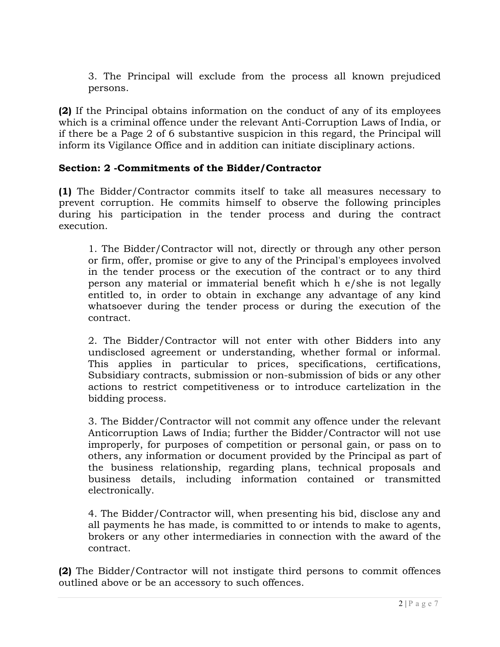3. The Principal will exclude from the process all known prejudiced persons.

**(2)** If the Principal obtains information on the conduct of any of its employees which is a criminal offence under the relevant Anti-Corruption Laws of India, or if there be a Page 2 of 6 substantive suspicion in this regard, the Principal will inform its Vigilance Office and in addition can initiate disciplinary actions.

# **Section: 2 -Commitments of the Bidder/Contractor**

**(1)** The Bidder/Contractor commits itself to take all measures necessary to prevent corruption. He commits himself to observe the following principles during his participation in the tender process and during the contract execution.

1. The Bidder/Contractor will not, directly or through any other person or firm, offer, promise or give to any of the Principal's employees involved in the tender process or the execution of the contract or to any third person any material or immaterial benefit which h e/she is not legally entitled to, in order to obtain in exchange any advantage of any kind whatsoever during the tender process or during the execution of the contract.

2. The Bidder/Contractor will not enter with other Bidders into any undisclosed agreement or understanding, whether formal or informal. This applies in particular to prices, specifications, certifications, Subsidiary contracts, submission or non-submission of bids or any other actions to restrict competitiveness or to introduce cartelization in the bidding process.

3. The Bidder/Contractor will not commit any offence under the relevant Anticorruption Laws of India; further the Bidder/Contractor will not use improperly, for purposes of competition or personal gain, or pass on to others, any information or document provided by the Principal as part of the business relationship, regarding plans, technical proposals and business details, including information contained or transmitted electronically.

4. The Bidder/Contractor will, when presenting his bid, disclose any and all payments he has made, is committed to or intends to make to agents, brokers or any other intermediaries in connection with the award of the contract.

**(2)** The Bidder/Contractor will not instigate third persons to commit offences outlined above or be an accessory to such offences.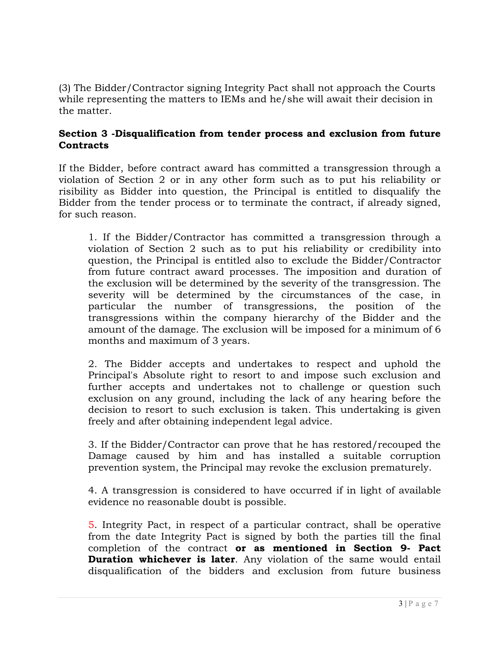(3) The Bidder/Contractor signing Integrity Pact shall not approach the Courts while representing the matters to IEMs and he/she will await their decision in the matter.

### **Section 3 -Disqualification from tender process and exclusion from future Contracts**

If the Bidder, before contract award has committed a transgression through a violation of Section 2 or in any other form such as to put his reliability or risibility as Bidder into question, the Principal is entitled to disqualify the Bidder from the tender process or to terminate the contract, if already signed, for such reason.

1. If the Bidder/Contractor has committed a transgression through a violation of Section 2 such as to put his reliability or credibility into question, the Principal is entitled also to exclude the Bidder/Contractor from future contract award processes. The imposition and duration of the exclusion will be determined by the severity of the transgression. The severity will be determined by the circumstances of the case, in particular the number of transgressions, the position of the transgressions within the company hierarchy of the Bidder and the amount of the damage. The exclusion will be imposed for a minimum of 6 months and maximum of 3 years.

2. The Bidder accepts and undertakes to respect and uphold the Principal's Absolute right to resort to and impose such exclusion and further accepts and undertakes not to challenge or question such exclusion on any ground, including the lack of any hearing before the decision to resort to such exclusion is taken. This undertaking is given freely and after obtaining independent legal advice.

3. If the Bidder/Contractor can prove that he has restored/recouped the Damage caused by him and has installed a suitable corruption prevention system, the Principal may revoke the exclusion prematurely.

4. A transgression is considered to have occurred if in light of available evidence no reasonable doubt is possible.

5. Integrity Pact, in respect of a particular contract, shall be operative from the date Integrity Pact is signed by both the parties till the final completion of the contract **or as mentioned in Section 9- Pact Duration whichever is later**. Any violation of the same would entail disqualification of the bidders and exclusion from future business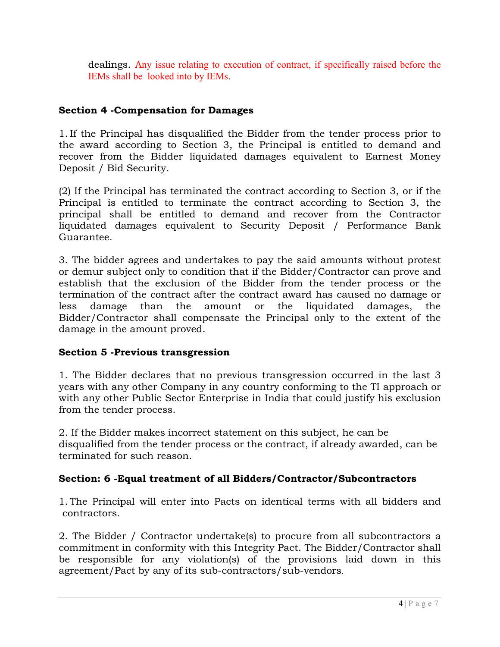dealings. Any issue relating to execution of contract, if specifically raised before the IEMs shall be looked into by IEMs.

## **Section 4 -Compensation for Damages**

1. If the Principal has disqualified the Bidder from the tender process prior to the award according to Section 3, the Principal is entitled to demand and recover from the Bidder liquidated damages equivalent to Earnest Money Deposit / Bid Security.

(2) If the Principal has terminated the contract according to Section 3, or if the Principal is entitled to terminate the contract according to Section 3, the principal shall be entitled to demand and recover from the Contractor liquidated damages equivalent to Security Deposit / Performance Bank Guarantee.

3. The bidder agrees and undertakes to pay the said amounts without protest or demur subject only to condition that if the Bidder/Contractor can prove and establish that the exclusion of the Bidder from the tender process or the termination of the contract after the contract award has caused no damage or less damage than the amount or the liquidated damages, the Bidder/Contractor shall compensate the Principal only to the extent of the damage in the amount proved.

## **Section 5 -Previous transgression**

1. The Bidder declares that no previous transgression occurred in the last 3 years with any other Company in any country conforming to the TI approach or with any other Public Sector Enterprise in India that could justify his exclusion from the tender process.

2. If the Bidder makes incorrect statement on this subject, he can be disqualified from the tender process or the contract, if already awarded, can be terminated for such reason.

# **Section: 6 -Equal treatment of all Bidders/Contractor/Subcontractors**

1. The Principal will enter into Pacts on identical terms with all bidders and contractors.

2. The Bidder / Contractor undertake(s) to procure from all subcontractors a commitment in conformity with this Integrity Pact. The Bidder/Contractor shall be responsible for any violation(s) of the provisions laid down in this agreement/Pact by any of its sub-contractors/sub-vendors.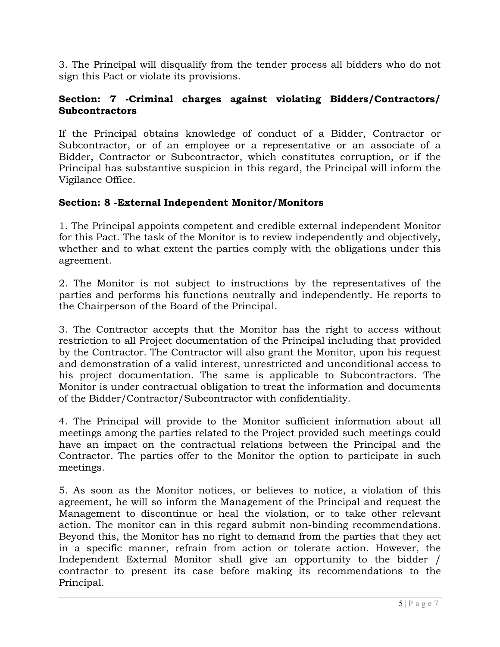3. The Principal will disqualify from the tender process all bidders who do not sign this Pact or violate its provisions.

## **Section: 7 -Criminal charges against violating Bidders/Contractors/ Subcontractors**

If the Principal obtains knowledge of conduct of a Bidder, Contractor or Subcontractor, or of an employee or a representative or an associate of a Bidder, Contractor or Subcontractor, which constitutes corruption, or if the Principal has substantive suspicion in this regard, the Principal will inform the Vigilance Office.

## **Section: 8 -External Independent Monitor/Monitors**

1. The Principal appoints competent and credible external independent Monitor for this Pact. The task of the Monitor is to review independently and objectively, whether and to what extent the parties comply with the obligations under this agreement.

2. The Monitor is not subject to instructions by the representatives of the parties and performs his functions neutrally and independently. He reports to the Chairperson of the Board of the Principal.

3. The Contractor accepts that the Monitor has the right to access without restriction to all Project documentation of the Principal including that provided by the Contractor. The Contractor will also grant the Monitor, upon his request and demonstration of a valid interest, unrestricted and unconditional access to his project documentation. The same is applicable to Subcontractors. The Monitor is under contractual obligation to treat the information and documents of the Bidder/Contractor/Subcontractor with confidentiality.

4. The Principal will provide to the Monitor sufficient information about all meetings among the parties related to the Project provided such meetings could have an impact on the contractual relations between the Principal and the Contractor. The parties offer to the Monitor the option to participate in such meetings.

5. As soon as the Monitor notices, or believes to notice, a violation of this agreement, he will so inform the Management of the Principal and request the Management to discontinue or heal the violation, or to take other relevant action. The monitor can in this regard submit non-binding recommendations. Beyond this, the Monitor has no right to demand from the parties that they act in a specific manner, refrain from action or tolerate action. However, the Independent External Monitor shall give an opportunity to the bidder / contractor to present its case before making its recommendations to the Principal.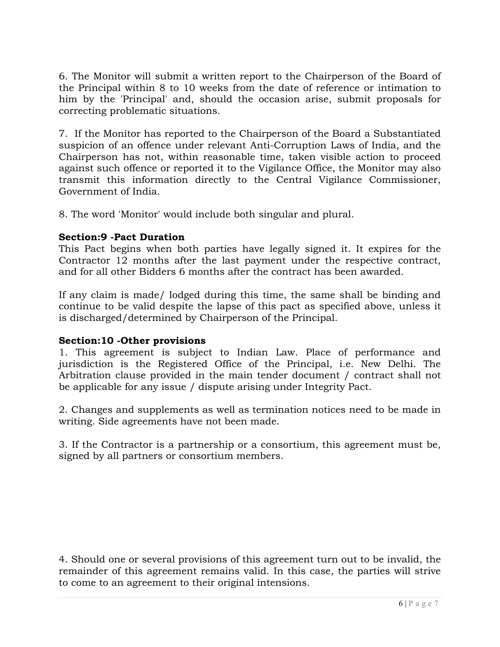6. The Monitor will submit a written report to the Chairperson of the Board of the Principal within 8 to 10 weeks from the date of reference or intimation to him by the 'Principal' and, should the occasion arise, submit proposals for correcting problematic situations.

7. If the Monitor has reported to the Chairperson of the Board a Substantiated suspicion of an offence under relevant Anti-Corruption Laws of India, and the Chairperson has not, within reasonable time, taken visible action to proceed against such offence or reported it to the Vigilance Office, the Monitor may also transmit this information directly to the Central Vigilance Commissioner, Government of India.

8. The word 'Monitor' would include both singular and plural.

### **Section:9 -Pact Duration**

This Pact begins when both parties have legally signed it. It expires for the Contractor 12 months after the last payment under the respective contract, and for all other Bidders 6 months after the contract has been awarded.

If any claim is made/ lodged during this time, the same shall be binding and continue to be valid despite the lapse of this pact as specified above, unless it is discharged/determined by Chairperson of the Principal.

### **Section:10 -Other provisions**

1. This agreement is subject to Indian Law. Place of performance and jurisdiction is the Registered Office of the Principal, i.e. New Delhi. The Arbitration clause provided in the main tender document / contract shall not be applicable for any issue / dispute arising under Integrity Pact.

2. Changes and supplements as well as termination notices need to be made in writing. Side agreements have not been made.

3. If the Contractor is a partnership or a consortium, this agreement must be, signed by all partners or consortium members.

4. Should one or several provisions of this agreement turn out to be invalid, the remainder of this agreement remains valid. In this case, the parties will strive to come to an agreement to their original intensions.